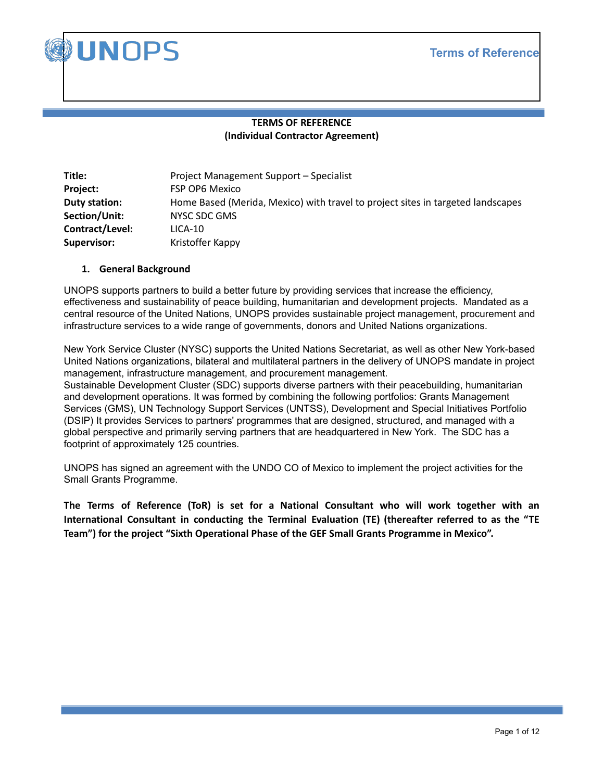

# **TERMS OF REFERENCE (Individual Contractor Agreement)**

| Title:             | Project Management Support – Specialist                                         |
|--------------------|---------------------------------------------------------------------------------|
| Project:           | <b>FSP OP6 Mexico</b>                                                           |
| Duty station:      | Home Based (Merida, Mexico) with travel to project sites in targeted landscapes |
| Section/Unit:      | NYSC SDC GMS                                                                    |
| Contract/Level:    | $LICA-10$                                                                       |
| <b>Supervisor:</b> | Kristoffer Kappy                                                                |

### **1. General Background**

UNOPS supports partners to build a better future by providing services that increase the efficiency, effectiveness and sustainability of peace building, humanitarian and development projects. Mandated as a central resource of the United Nations, UNOPS provides sustainable project management, procurement and infrastructure services to a wide range of governments, donors and United Nations organizations.

New York Service Cluster (NYSC) supports the United Nations Secretariat, as well as other New York-based United Nations organizations, bilateral and multilateral partners in the delivery of UNOPS mandate in project management, infrastructure management, and procurement management. Sustainable Development Cluster (SDC) supports diverse partners with their peacebuilding, humanitarian and development operations. It was formed by combining the following portfolios: Grants Management Services (GMS), UN Technology Support Services (UNTSS), Development and Special Initiatives Portfolio (DSIP) It provides Services to partners' programmes that are designed, structured, and managed with a global perspective and primarily serving partners that are headquartered in New York. The SDC has a footprint of approximately 125 countries.

UNOPS has signed an agreement with the UNDO CO of Mexico to implement the project activities for the Small Grants Programme.

**The Terms of Reference (ToR) is set for a National Consultant who will work together with an International Consultant in conducting the Terminal Evaluation (TE) (thereafter referred to as the "TE Team") for the project "Sixth Operational Phase of the GEF Small Grants Programme in Mexico".**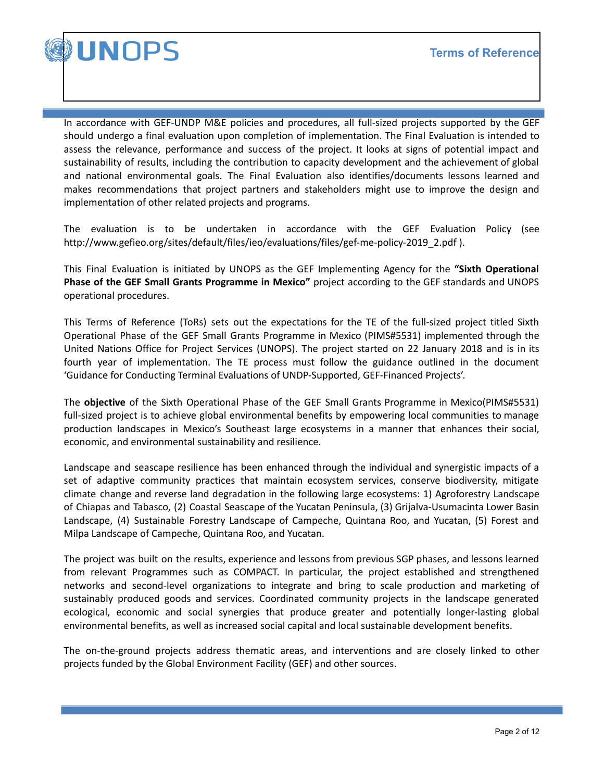

In accordance with GEF-UNDP M&E policies and procedures, all full-sized projects supported by the GEF should undergo a final evaluation upon completion of implementation. The Final Evaluation is intended to assess the relevance, performance and success of the project. It looks at signs of potential impact and sustainability of results, including the contribution to capacity development and the achievement of global and national environmental goals. The Final Evaluation also identifies/documents lessons learned and makes recommendations that project partners and stakeholders might use to improve the design and implementation of other related projects and programs.

The evaluation is to be undertaken in accordance with the GEF Evaluation Policy (see http://www.gefieo.org/sites/default/files/ieo/evaluations/files/gef-me-policy-2019\_2.pdf ).

This Final Evaluation is initiated by UNOPS as the GEF Implementing Agency for the **"Sixth Operational Phase of the GEF Small Grants Programme in Mexico"** project according to the GEF standards and UNOPS operational procedures.

This Terms of Reference (ToRs) sets out the expectations for the TE of the full-sized project titled Sixth Operational Phase of the GEF Small Grants Programme in Mexico (PIMS#5531) implemented through the United Nations Office for Project Services (UNOPS). The project started on 22 January 2018 and is in its fourth year of implementation. The TE process must follow the guidance outlined in the document 'Guidance for Conducting Terminal Evaluations of UNDP-Supported, GEF-Financed Projects'.

The **objective** of the Sixth Operational Phase of the GEF Small Grants Programme in Mexico(PIMS#5531) full-sized project is to achieve global environmental benefits by empowering local communities to manage production landscapes in Mexico's Southeast large ecosystems in a manner that enhances their social, economic, and environmental sustainability and resilience.

Landscape and seascape resilience has been enhanced through the individual and synergistic impacts of a set of adaptive community practices that maintain ecosystem services, conserve biodiversity, mitigate climate change and reverse land degradation in the following large ecosystems: 1) Agroforestry Landscape of Chiapas and Tabasco, (2) Coastal Seascape of the Yucatan Peninsula, (3) Grijalva-Usumacinta Lower Basin Landscape, (4) Sustainable Forestry Landscape of Campeche, Quintana Roo, and Yucatan, (5) Forest and Milpa Landscape of Campeche, Quintana Roo, and Yucatan.

The project was built on the results, experience and lessons from previous SGP phases, and lessons learned from relevant Programmes such as COMPACT. In particular, the project established and strengthened networks and second-level organizations to integrate and bring to scale production and marketing of sustainably produced goods and services. Coordinated community projects in the landscape generated ecological, economic and social synergies that produce greater and potentially longer-lasting global environmental benefits, as well as increased social capital and local sustainable development benefits.

The on-the-ground projects address thematic areas, and interventions and are closely linked to other projects funded by the Global Environment Facility (GEF) and other sources.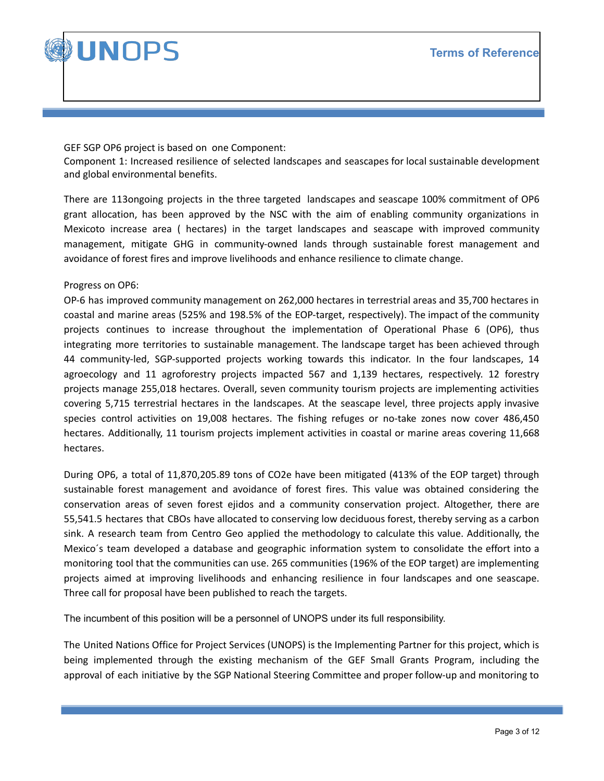

GEF SGP OP6 project is based on one Component:

Component 1: Increased resilience of selected landscapes and seascapes for local sustainable development and global environmental benefits.

There are 113ongoing projects in the three targeted landscapes and seascape 100% commitment of OP6 grant allocation, has been approved by the NSC with the aim of enabling community organizations in Mexicoto increase area ( hectares) in the target landscapes and seascape with improved community management, mitigate GHG in community-owned lands through sustainable forest management and avoidance of forest fires and improve livelihoods and enhance resilience to climate change.

Progress on OP6:

OP-6 has improved community management on 262,000 hectares in terrestrial areas and 35,700 hectares in coastal and marine areas (525% and 198.5% of the EOP-target, respectively). The impact of the community projects continues to increase throughout the implementation of Operational Phase 6 (OP6), thus integrating more territories to sustainable management. The landscape target has been achieved through 44 community-led, SGP-supported projects working towards this indicator. In the four landscapes, 14 agroecology and 11 agroforestry projects impacted 567 and 1,139 hectares, respectively. 12 forestry projects manage 255,018 hectares. Overall, seven community tourism projects are implementing activities covering 5,715 terrestrial hectares in the landscapes. At the seascape level, three projects apply invasive species control activities on 19,008 hectares. The fishing refuges or no-take zones now cover 486,450 hectares. Additionally, 11 tourism projects implement activities in coastal or marine areas covering 11,668 hectares.

During OP6, a total of 11,870,205.89 tons of CO2e have been mitigated (413% of the EOP target) through sustainable forest management and avoidance of forest fires. This value was obtained considering the conservation areas of seven forest ejidos and a community conservation project. Altogether, there are 55,541.5 hectares that CBOs have allocated to conserving low deciduous forest, thereby serving as a carbon sink. A research team from Centro Geo applied the methodology to calculate this value. Additionally, the Mexico´s team developed a database and geographic information system to consolidate the effort into a monitoring tool that the communities can use. 265 communities (196% of the EOP target) are implementing projects aimed at improving livelihoods and enhancing resilience in four landscapes and one seascape. Three call for proposal have been published to reach the targets.

The incumbent of this position will be a personnel of UNOPS under its full responsibility.

The United Nations Office for Project Services (UNOPS) is the Implementing Partner for this project, which is being implemented through the existing mechanism of the GEF Small Grants Program, including the approval of each initiative by the SGP National Steering Committee and proper follow-up and monitoring to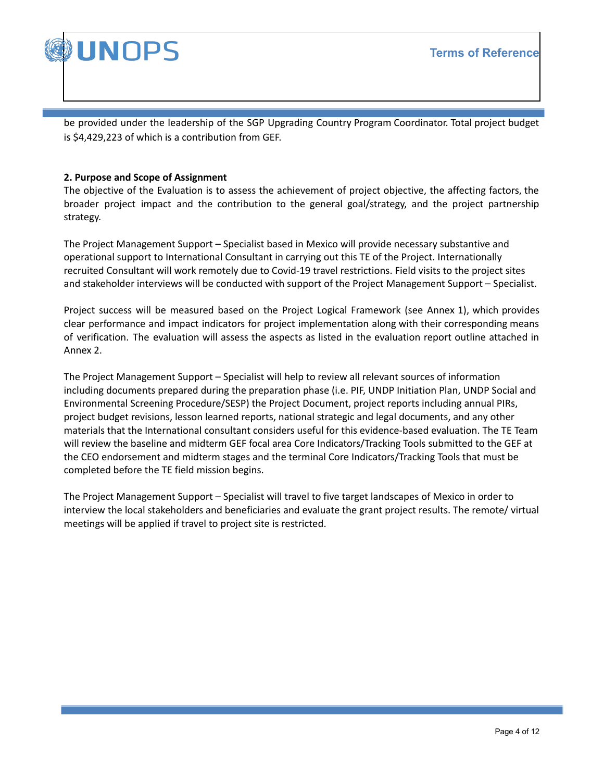

be provided under the leadership of the SGP Upgrading Country Program Coordinator. Total project budget is \$4,429,223 of which is a contribution from GEF.

## **2. Purpose and Scope of Assignment**

The objective of the Evaluation is to assess the achievement of project objective, the affecting factors, the broader project impact and the contribution to the general goal/strategy, and the project partnership strategy.

The Project Management Support – Specialist based in Mexico will provide necessary substantive and operational support to International Consultant in carrying out this TE of the Project. Internationally recruited Consultant will work remotely due to Covid-19 travel restrictions. Field visits to the project sites and stakeholder interviews will be conducted with support of the Project Management Support – Specialist.

Project success will be measured based on the Project Logical Framework (see Annex 1), which provides clear performance and impact indicators for project implementation along with their corresponding means of verification. The evaluation will assess the aspects as listed in the evaluation report outline attached in Annex 2.

The Project Management Support – Specialist will help to review all relevant sources of information including documents prepared during the preparation phase (i.e. PIF, UNDP Initiation Plan, UNDP Social and Environmental Screening Procedure/SESP) the Project Document, project reports including annual PIRs, project budget revisions, lesson learned reports, national strategic and legal documents, and any other materials that the International consultant considers useful for this evidence-based evaluation. The TE Team will review the baseline and midterm GEF focal area Core Indicators/Tracking Tools submitted to the GEF at the CEO endorsement and midterm stages and the terminal Core Indicators/Tracking Tools that must be completed before the TE field mission begins.

The Project Management Support – Specialist will travel to five target landscapes of Mexico in order to interview the local stakeholders and beneficiaries and evaluate the grant project results. The remote/ virtual meetings will be applied if travel to project site is restricted.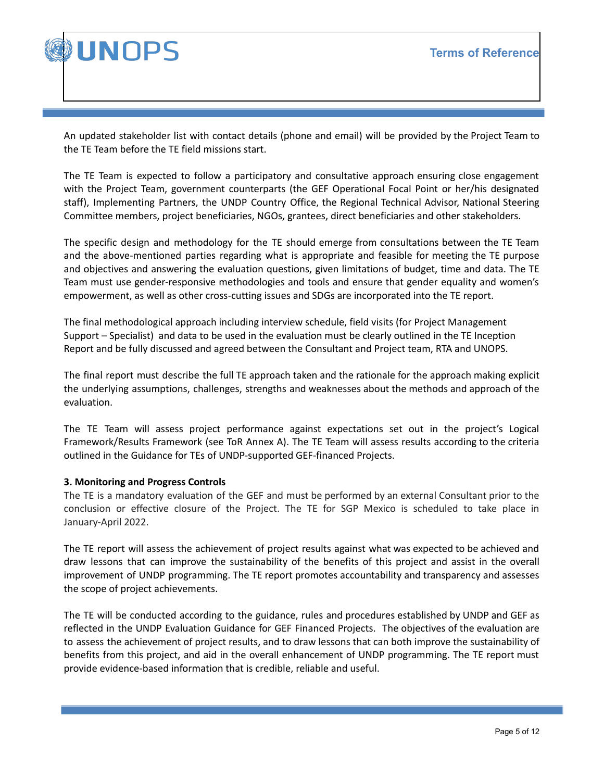



An updated stakeholder list with contact details (phone and email) will be provided by the Project Team to the TE Team before the TE field missions start.

The TE Team is expected to follow a participatory and consultative approach ensuring close engagement with the Project Team, government counterparts (the GEF Operational Focal Point or her/his designated staff), Implementing Partners, the UNDP Country Office, the Regional Technical Advisor, National Steering Committee members, project beneficiaries, NGOs, grantees, direct beneficiaries and other stakeholders.

The specific design and methodology for the TE should emerge from consultations between the TE Team and the above-mentioned parties regarding what is appropriate and feasible for meeting the TE purpose and objectives and answering the evaluation questions, given limitations of budget, time and data. The TE Team must use gender-responsive methodologies and tools and ensure that gender equality and women's empowerment, as well as other cross-cutting issues and SDGs are incorporated into the TE report.

The final methodological approach including interview schedule, field visits (for Project Management Support – Specialist) and data to be used in the evaluation must be clearly outlined in the TE Inception Report and be fully discussed and agreed between the Consultant and Project team, RTA and UNOPS.

The final report must describe the full TE approach taken and the rationale for the approach making explicit the underlying assumptions, challenges, strengths and weaknesses about the methods and approach of the evaluation.

The TE Team will assess project performance against expectations set out in the project's Logical Framework/Results Framework (see ToR Annex A). The TE Team will assess results according to the criteria outlined in the Guidance for TEs of UNDP-supported GEF-financed Projects.

# **3. Monitoring and Progress Controls**

The TE is a mandatory evaluation of the GEF and must be performed by an external Consultant prior to the conclusion or effective closure of the Project. The TE for SGP Mexico is scheduled to take place in January-April 2022.

The TE report will assess the achievement of project results against what was expected to be achieved and draw lessons that can improve the sustainability of the benefits of this project and assist in the overall improvement of UNDP programming. The TE report promotes accountability and transparency and assesses the scope of project achievements.

The TE will be conducted according to the guidance, rules and procedures established by UNDP and GEF as reflected in the UNDP Evaluation Guidance for GEF Financed Projects. The objectives of the evaluation are to assess the achievement of project results, and to draw lessons that can both improve the sustainability of benefits from this project, and aid in the overall enhancement of UNDP programming. The TE report must provide evidence-based information that is credible, reliable and useful.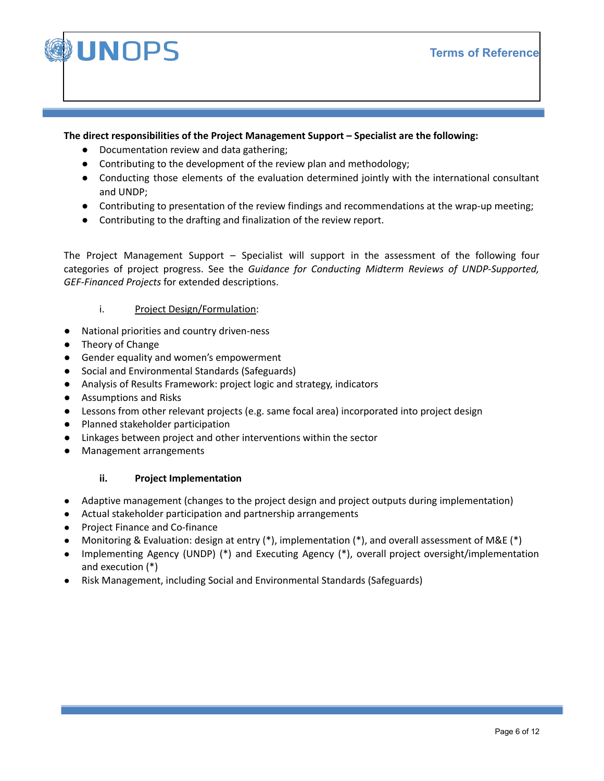

## **The direct responsibilities of the Project Management Support – Specialist are the following:**

- **●** Documentation review and data gathering;
- **●** Contributing to the development of the review plan and methodology;
- **●** Conducting those elements of the evaluation determined jointly with the international consultant and UNDP;
- **●** Contributing to presentation of the review findings and recommendations at the wrap-up meeting;
- **●** Contributing to the drafting and finalization of the review report.

The Project Management Support – Specialist will support in the assessment of the following four categories of project progress. See the *Guidance for Conducting Midterm Reviews of UNDP-Supported, GEF-Financed Projects* for extended descriptions.

# i. Project Design/Formulation:

- National priorities and country driven-ness
- Theory of Change
- Gender equality and women's empowerment
- Social and Environmental Standards (Safeguards)
- Analysis of Results Framework: project logic and strategy, indicators
- Assumptions and Risks
- Lessons from other relevant projects (e.g. same focal area) incorporated into project design
- Planned stakeholder participation
- Linkages between project and other interventions within the sector
- Management arrangements

# **ii. Project Implementation**

- Adaptive management (changes to the project design and project outputs during implementation)
- Actual stakeholder participation and partnership arrangements
- Project Finance and Co-finance
- Monitoring & Evaluation: design at entry (\*), implementation (\*), and overall assessment of M&E (\*)
- Implementing Agency (UNDP) (\*) and Executing Agency (\*), overall project oversight/implementation and execution (\*)
- Risk Management, including Social and Environmental Standards (Safeguards)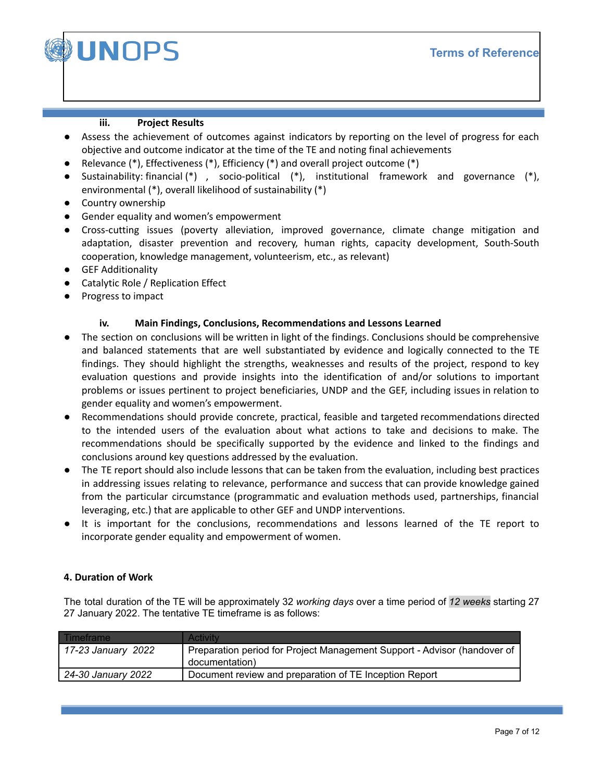

## **iii. Project Results**

- Assess the achievement of outcomes against indicators by reporting on the level of progress for each objective and outcome indicator at the time of the TE and noting final achievements
- Relevance (\*), Effectiveness (\*), Efficiency (\*) and overall project outcome (\*)
- Sustainability: financial  $(*)$ , socio-political  $(*)$ , institutional framework and governance  $(*)$ , environmental (\*), overall likelihood of sustainability (\*)
- Country ownership
- Gender equality and women's empowerment
- Cross-cutting issues (poverty alleviation, improved governance, climate change mitigation and adaptation, disaster prevention and recovery, human rights, capacity development, South-South cooperation, knowledge management, volunteerism, etc., as relevant)
- GEF Additionality
- Catalytic Role / Replication Effect
- Progress to impact

# **iv. Main Findings, Conclusions, Recommendations and Lessons Learned**

- The section on conclusions will be written in light of the findings. Conclusions should be comprehensive and balanced statements that are well substantiated by evidence and logically connected to the TE findings. They should highlight the strengths, weaknesses and results of the project, respond to key evaluation questions and provide insights into the identification of and/or solutions to important problems or issues pertinent to project beneficiaries, UNDP and the GEF, including issues in relation to gender equality and women's empowerment.
- Recommendations should provide concrete, practical, feasible and targeted recommendations directed to the intended users of the evaluation about what actions to take and decisions to make. The recommendations should be specifically supported by the evidence and linked to the findings and conclusions around key questions addressed by the evaluation.
- The TE report should also include lessons that can be taken from the evaluation, including best practices in addressing issues relating to relevance, performance and success that can provide knowledge gained from the particular circumstance (programmatic and evaluation methods used, partnerships, financial leveraging, etc.) that are applicable to other GEF and UNDP interventions.
- It is important for the conclusions, recommendations and lessons learned of the TE report to incorporate gender equality and empowerment of women.

# **4. Duration of Work**

The total duration of the TE will be approximately 32 *working days* over a time period of *12 weeks* starting 27 27 January 2022. The tentative TE timeframe is as follows:

| Timeframe          | Activity                                                                                   |
|--------------------|--------------------------------------------------------------------------------------------|
| 17-23 January 2022 | Preparation period for Project Management Support - Advisor (handover of<br>documentation) |
| 24-30 January 2022 | Document review and preparation of TE Inception Report                                     |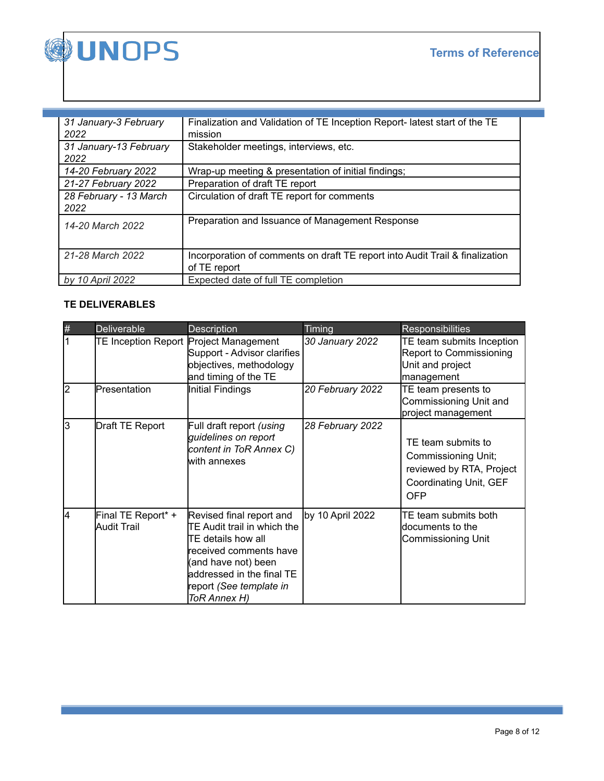

| 31 January-3 February<br>2022  | Finalization and Validation of TE Inception Report- latest start of the TE<br>mission        |
|--------------------------------|----------------------------------------------------------------------------------------------|
| 31 January-13 February<br>2022 | Stakeholder meetings, interviews, etc.                                                       |
| 14-20 February 2022            | Wrap-up meeting & presentation of initial findings;                                          |
| 21-27 February 2022            | Preparation of draft TE report                                                               |
| 28 February - 13 March<br>2022 | Circulation of draft TE report for comments                                                  |
| 14-20 March 2022               | Preparation and Issuance of Management Response                                              |
| 21-28 March 2022               | Incorporation of comments on draft TE report into Audit Trail & finalization<br>of TE report |
| by 10 April 2022               | Expected date of full TE completion                                                          |

# **TE DELIVERABLES**

| #  | <b>Deliverable</b>                | <b>Description</b>                                                                                                                                                                                      | Timing           | <b>Responsibilities</b>                                                                                |
|----|-----------------------------------|---------------------------------------------------------------------------------------------------------------------------------------------------------------------------------------------------------|------------------|--------------------------------------------------------------------------------------------------------|
|    |                                   | TE Inception Report Project Management<br>Support - Advisor clarifies<br>objectives, methodology<br>and timing of the TE                                                                                | 30 January 2022  | TE team submits Inception<br>Report to Commissioning<br>Unit and project<br>management                 |
| l2 | Presentation                      | Initial Findings                                                                                                                                                                                        | 20 February 2022 | TE team presents to<br>Commissioning Unit and<br>project management                                    |
| l3 | Draft TE Report                   | Full draft report (using<br>guidelines on report<br>content in ToR Annex C)<br>with annexes                                                                                                             | 28 February 2022 | TE team submits to<br>Commissioning Unit;<br>reviewed by RTA, Project<br>Coordinating Unit, GEF<br>OFP |
| l4 | Final TE Report* +<br>Audit Trail | Revised final report and<br>TE Audit trail in which the<br>ITE details how all<br>received comments have<br>(and have not) been<br>addressed in the final TE<br>report (See template in<br>ToR Annex H) | by 10 April 2022 | TE team submits both<br>ldocuments to the<br>Commissioning Unit                                        |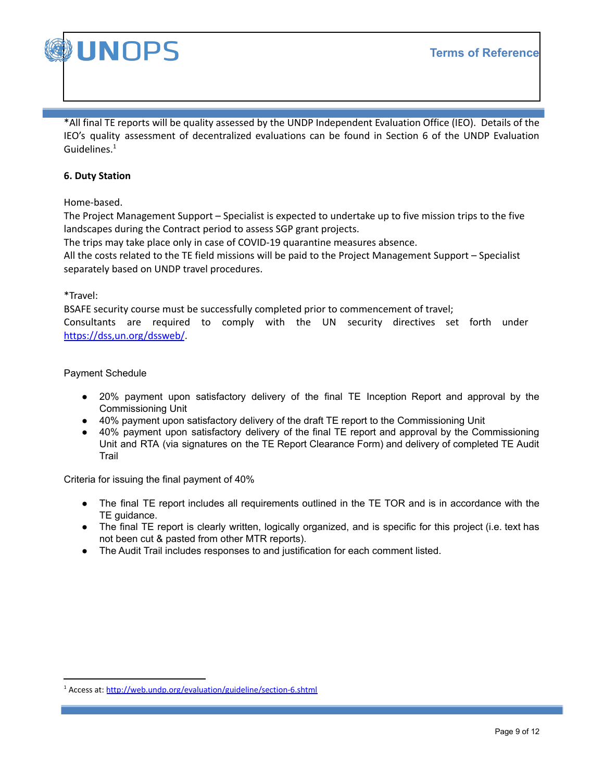

**UNOPS** 

\*All final TE reports will be quality assessed by the UNDP Independent Evaluation Office (IEO). Details of the IEO's quality assessment of decentralized evaluations can be found in Section 6 of the UNDP Evaluation Guidelines.<sup>1</sup>

### **6. Duty Station**

Home-based.

The Project Management Support – Specialist is expected to undertake up to five mission trips to the five landscapes during the Contract period to assess SGP grant projects.

The trips may take place only in case of COVID-19 quarantine measures absence.

All the costs related to the TE field missions will be paid to the Project Management Support – Specialist separately based on UNDP travel procedures.

### \*Travel:

BSAFE security course must be successfully completed prior to commencement of travel; Consultants are required to comply with the UN security directives set forth under https://dss,un.org/dssweb/.

### Payment Schedule

- 20% payment upon satisfactory delivery of the final TE Inception Report and approval by the Commissioning Unit
- 40% payment upon satisfactory delivery of the draft TE report to the Commissioning Unit
- 40% payment upon satisfactory delivery of the final TE report and approval by the Commissioning Unit and RTA (via signatures on the TE Report Clearance Form) and delivery of completed TE Audit **Trail**

Criteria for issuing the final payment of 40%

- The final TE report includes all requirements outlined in the TE TOR and is in accordance with the TE guidance.
- The final TE report is clearly written, logically organized, and is specific for this project (i.e. text has not been cut & pasted from other MTR reports).
- The Audit Trail includes responses to and justification for each comment listed.

<sup>&</sup>lt;sup>1</sup> Access at: http://web.undp.org/evaluation/guideline/section-6.shtml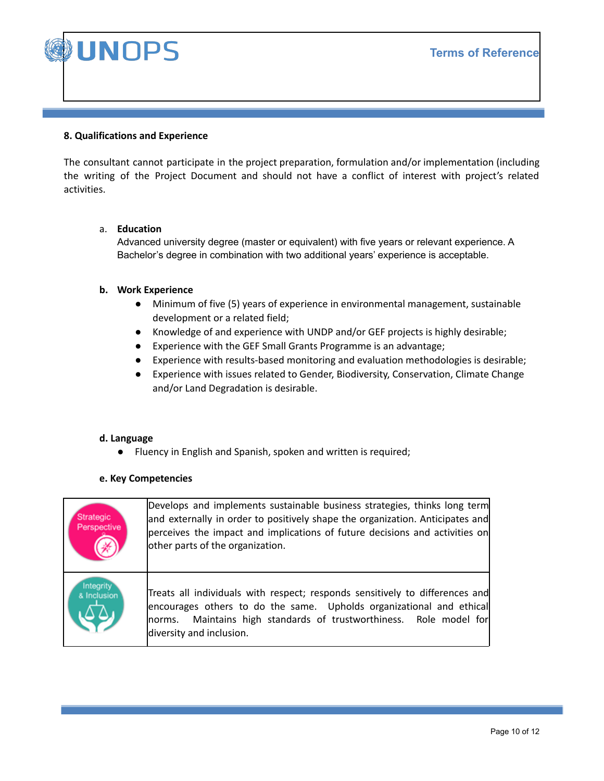**Terms of Reference**



## **8. Qualifications and Experience**

The consultant cannot participate in the project preparation, formulation and/or implementation (including the writing of the Project Document and should not have a conflict of interest with project's related activities.

### a. **Education**

Advanced university degree (master or equivalent) with five years or relevant experience. A Bachelor's degree in combination with two additional years' experience is acceptable.

### **b. Work Experience**

- **●** Minimum of five (5) years of experience in environmental management, sustainable development or a related field;
- **●** Knowledge of and experience with UNDP and/or GEF projects is highly desirable;
- **●** Experience with the GEF Small Grants Programme is an advantage;
- **●** Experience with results-based monitoring and evaluation methodologies is desirable;
- **●** Experience with issues related to Gender, Biodiversity, Conservation, Climate Change and/or Land Degradation is desirable.

### **d. Language**

**●** Fluency in English and Spanish, spoken and written is required;

### **e. Key Competencies**

| Strategic<br>Perspective | Develops and implements sustainable business strategies, thinks long term<br>and externally in order to positively shape the organization. Anticipates and<br>perceives the impact and implications of future decisions and activities on<br>other parts of the organization. |
|--------------------------|-------------------------------------------------------------------------------------------------------------------------------------------------------------------------------------------------------------------------------------------------------------------------------|
| Integrity<br>& Inclusion | Treats all individuals with respect; responds sensitively to differences and<br>encourages others to do the same. Upholds organizational and ethical<br>norms. Maintains high standards of trustworthiness. Role model for<br>diversity and inclusion.                        |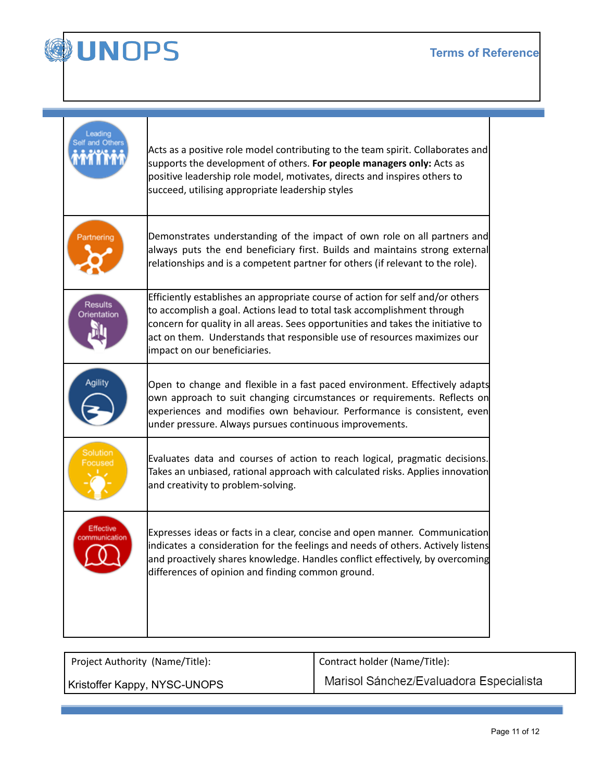T



Т

 $\overline{\mathsf{T}}$ 

| eading                   | Acts as a positive role model contributing to the team spirit. Collaborates and<br>supports the development of others. For people managers only: Acts as<br>positive leadership role model, motivates, directs and inspires others to<br>succeed, utilising appropriate leadership styles                                                                 |
|--------------------------|-----------------------------------------------------------------------------------------------------------------------------------------------------------------------------------------------------------------------------------------------------------------------------------------------------------------------------------------------------------|
| Partnering               | Demonstrates understanding of the impact of own role on all partners and<br>always puts the end beneficiary first. Builds and maintains strong external<br>relationships and is a competent partner for others (if relevant to the role).                                                                                                                 |
| Results<br>Orientation   | Efficiently establishes an appropriate course of action for self and/or others<br>to accomplish a goal. Actions lead to total task accomplishment through<br>concern for quality in all areas. Sees opportunities and takes the initiative to<br>act on them. Understands that responsible use of resources maximizes our<br>impact on our beneficiaries. |
|                          | Open to change and flexible in a fast paced environment. Effectively adapts<br>own approach to suit changing circumstances or requirements. Reflects on<br>experiences and modifies own behaviour. Performance is consistent, even<br>under pressure. Always pursues continuous improvements.                                                             |
| Solution                 | Evaluates data and courses of action to reach logical, pragmatic decisions.<br>Takes an unbiased, rational approach with calculated risks. Applies innovation<br>and creativity to problem-solving.                                                                                                                                                       |
| Effective<br>nmunication | Expresses ideas or facts in a clear, concise and open manner. Communication<br>indicates a consideration for the feelings and needs of others. Actively listens<br>and proactively shares knowledge. Handles conflict effectively, by overcoming<br>differences of opinion and finding common ground.                                                     |

| Project Authority (Name/Title): | Contract holder (Name/Title):           |  |
|---------------------------------|-----------------------------------------|--|
| Kristoffer Kappy, NYSC-UNOPS    | Marisol Sánchez/Evaluadora Especialista |  |